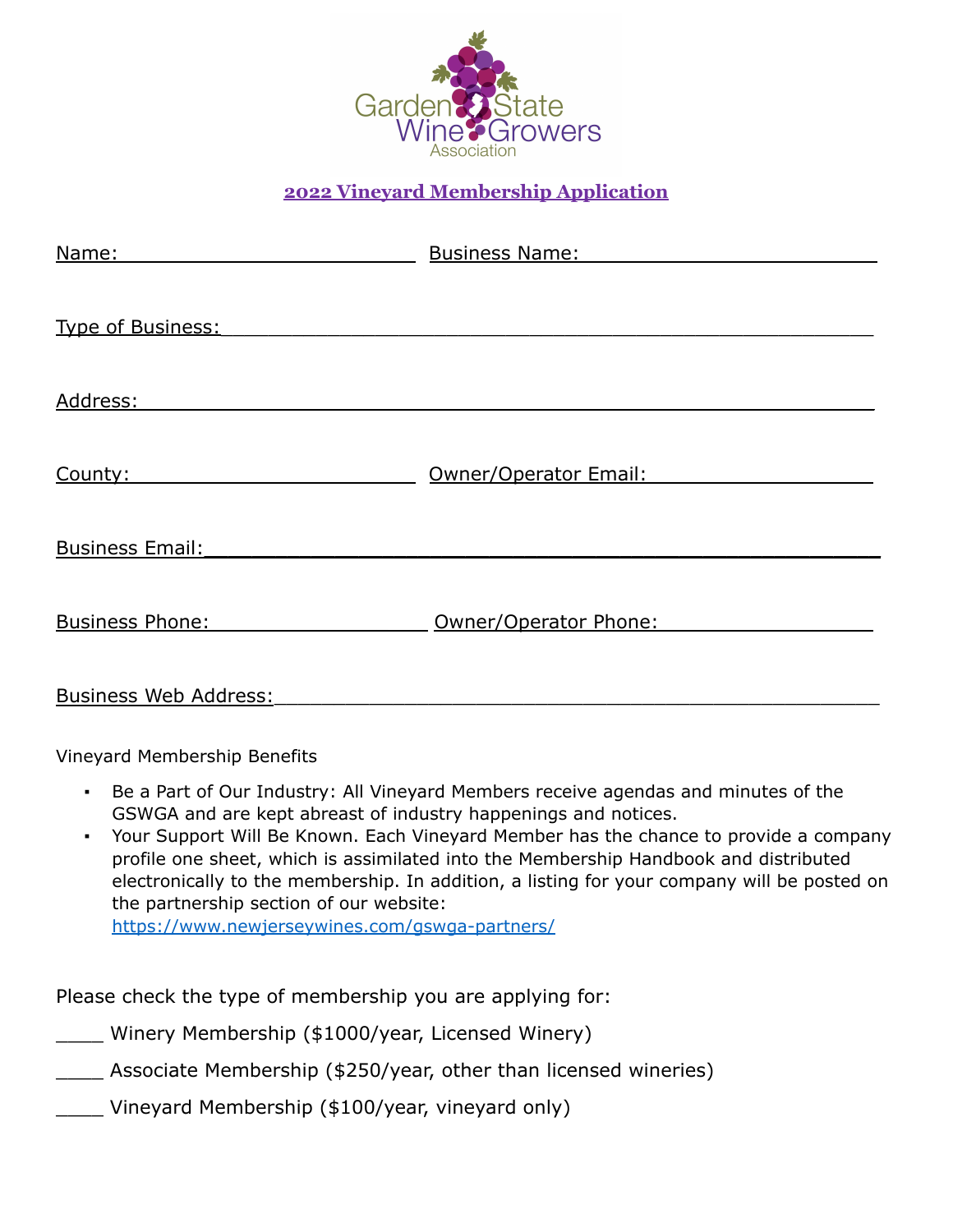

## **2022 Vineyard Membership Application**

| Name:                        | <b>Business Name:</b> |
|------------------------------|-----------------------|
|                              |                       |
| Type of Business:            |                       |
| Address:                     |                       |
|                              |                       |
| County:                      | Owner/Operator Email: |
|                              |                       |
| <b>Business Email:</b>       |                       |
|                              |                       |
| <b>Business Phone:</b>       | Owner/Operator Phone: |
| <b>Business Web Address:</b> |                       |
|                              |                       |

Vineyard Membership Benefits

- Be a Part of Our Industry: All Vineyard Members receive agendas and minutes of the GSWGA and are kept abreast of industry happenings and notices.
- Your Support Will Be Known. Each Vineyard Member has the chance to provide a company profile one sheet, which is assimilated into the Membership Handbook and distributed electronically to the membership. In addition, a listing for your company will be posted on the partnership section of our website: <https://www.newjerseywines.com/gswga-partners/>

Please check the type of membership you are applying for:

\_\_\_\_ Winery Membership (\$1000/year, Licensed Winery)

\_\_\_\_ Associate Membership (\$250/year, other than licensed wineries)

Vineyard Membership (\$100/year, vineyard only)